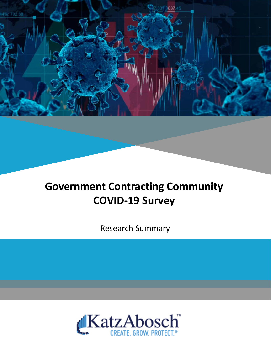

# **Government Contracting Community COVID-19 Survey**

Research Summary

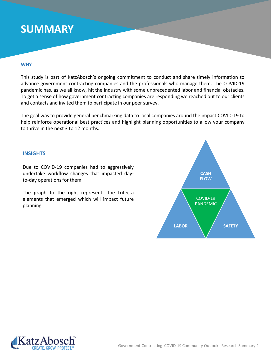### **SUMMARY**

#### **WHY**

This study is part of KatzAbosch's ongoing commitment to conduct and share timely information to advance government contracting companies and the professionals who manage them. The COVID-19 pandemic has, as we all know, hit the industry with some unprecedented labor and financial obstacles. To get a sense of how government contracting companies are responding we reached out to our clients and contacts and invited them to participate in our peer survey.

The goal was to provide general benchmarking data to local companies around the impact COVID-19 to help reinforce operational best practices and highlight planning opportunities to allow your company to thrive in the next 3 to 12 months.

#### **INSIGHTS**

Due to COVID-19 companies had to aggressively undertake workflow changes that impacted dayto-day operations for them.

The graph to the right represents the trifecta elements that emerged which will impact future planning.



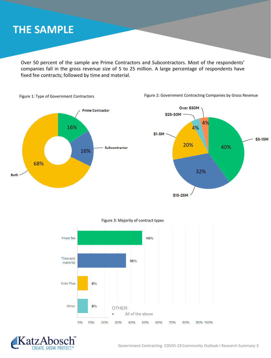## **THE SAMPLE**

Over 50 percent of the sample are Prime Contractors and Subcontractors. Most of the respondents' companies fall in the gross revenue size of 5 to 25 million. A large percentage of respondents have fixed fee contracts; followed by time and material.





#### Figure 3: Majority of contract types

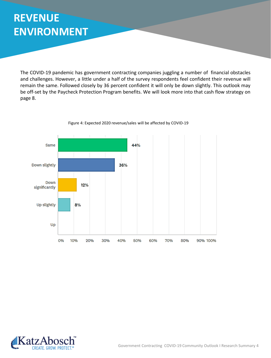# **REVENUE ENVIRONMENT**

The COVID-19 pandemic has government contracting companies juggling a number of financial obstacles and challenges. However, a little under a half of the survey respondents feel confident their revenue will remain the same. Followed closely by 36 percent confident it will only be down slightly. This outlook may be off-set by the Paycheck Protection Program benefits. We will look more into that cash flow strategy on page 8.



Figure 4: Expected 2020 revenue/sales will be affected by COVID-19

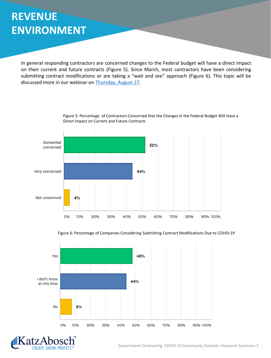# **REVENUE ENVIRONMENT**

In general responding contractors are concerned changes to the Federal budget will have a direct impact on their current and future contracts (Figure 5). Since March, most contractors have been considering submitting contract modifications or are taking a "wait and see" approach (Figure 6). This topic will be discussed more in our webinar on [Thursday,](https://katzabosch.zoom.us/meeting/register/tJYkdOmpqz4qHd2o3Auj30WEXq0hBh9vU9T1) August 27.



Figure 5: Percentage of Contractors Concerned that the Changes in the Federal Budget Will Have a Direct Impact on Current and Future Contracts





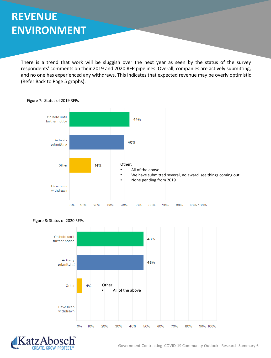# **REVENUE ENVIRONMENT**

There is a trend that work will be sluggish over the next year as seen by the status of the survey respondents' comments on their 2019 and 2020 RFP pipelines. Overall, companies are actively submitting, and no one has experienced any withdraws. This indicates that expected revenue may be overly optimistic (Refer Back to Page 5 graphs).



Figure 7: Status of 2019 RFPs



#### Figure 8: Status of 2020 RFPs

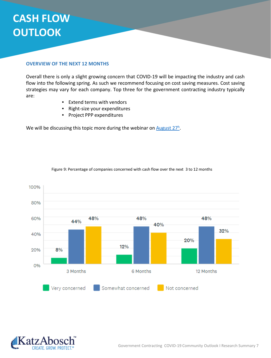# **CASH FLOW OUTLOOK**

### **OVERVIEW OF THE NEXT 12 MONTHS**

Overall there is only a slight growing concern that COVID-19 will be impacting the industry and cash flow into the following spring. As such we recommend focusing on cost saving measures. Cost saving strategies may vary for each company. Top three for the government contracting industry typically are:

- Extend terms with vendors
- Right-size your expenditures
- Project PPP expenditures

We will be discussing this topic more during the webinar on [August](https://katzabosch.zoom.us/meeting/register/tJYkdOmpqz4qHd2o3Auj30WEXq0hBh9vU9T1)  $27<sup>h</sup>$ .



Figure 9: Percentage of companies concerned with cash flow over the next 3 to 12 months

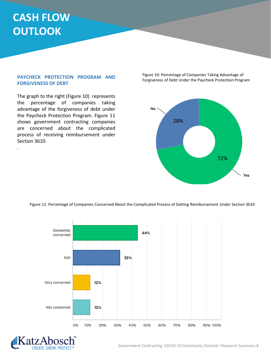# **CASH FLOW OUTLOOK**

.

### **PAYCHECK PROTECTION PROGRAM AND FORGIVENESS OF DEBT**

The graph to the right (Figure 10) represents the percentage of companies taking advantage of the forgiveness of debt under the Paycheck Protection Program. Figure 11 shows government contracting companies are concerned about the complicated process of receiving reimbursement under Section 3610.

Figure 10: Percentage of Companies Taking Advantage of Forgiveness of Debt Under the Paycheck Protection Program



Figure 11: Percentage of Companies Concerned About the Complicated Process of Getting Reimbursement Under Section 3610



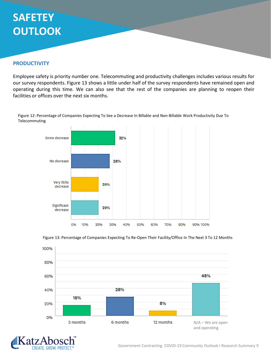# **SAFETEY OUTLOOK**

### **PRODUCTIVITY**

Employee safety is priority number one. Telecommuting and productivity challenges includes various results for our survey respondents. Figure 13 shows a little under half of the survey respondents have remained open and operating during this time. We can also see that the rest of the companies are planning to reopen their facilities or offices over the next six months.



Figure 12: Percentage of Companies Expecting To See a Decrease In Billable and Non-Billable Work Productivity Due To Telecommuting



#### Figure 13: Percentage of Companies Expecting To Re-Open Their Facility/Office In The Next 3 To 12 Months

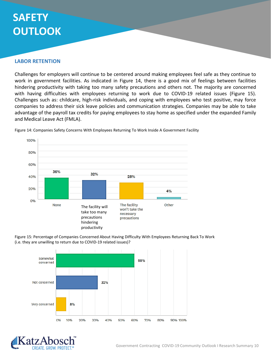# **SAFETY OUTLOOK**

### **LABOR RETENTION**

Challenges for employers will continue to be centered around making employees feel safe as they continue to work in government facilities. As indicated in Figure 14, there is a good mix of feelings between facilities hindering productivity with taking too many safety precautions and others not. The majority are concerned with having difficulties with employees returning to work due to COVID-19 related issues (Figure 15). Challenges such as: childcare, high-risk individuals, and coping with employees who test positive, may force companies to address their sick leave policies and communication strategies. Companies may be able to take advantage of the payroll tax credits for paying employees to stay home as specified under the expanded Family and Medical Leave Act (FMLA).



Figure 14: Companies Safety Concerns With Employees Returning To Work Inside A Government Facility

Figure 15: Percentage of Companies Concerned About Having Difficulty With Employees Returning Back To Work (i.e. they are unwilling to return due to COVID-19 related issues)?



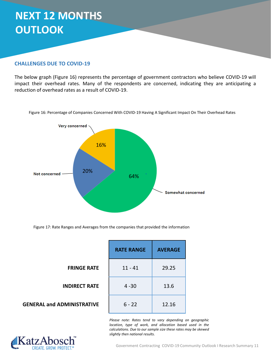# **NEXT 12 MONTHS OUTLOOK**

### **CHALLENGES DUE TO COVID-19**

The below graph (Figure 16) represents the percentage of government contractors who believe COVID-19 will impact their overhead rates. Many of the respondents are concerned, indicating they are anticipating a reduction of overhead rates as a result of COVID-19.



Figure 16: Percentage of Companies Concerned With COVID-19 Having A Significant Impact On Their Overhead Rates

Figure 17: Rate Ranges and Averages from the companies that provided the information

|                                   | <b>RATE RANGE</b> | <b>AVERAGE</b> |
|-----------------------------------|-------------------|----------------|
| <b>FRINGE RATE</b>                | $11 - 41$         | 29.25          |
| <b>INDIRECT RATE</b>              | $4 - 30$          | 13.6           |
| <b>GENERAL and ADMINISTRATIVE</b> | $6 - 22$          | 12.16          |

*Please note: Rates tend to vary depending on geographic location, type of work, and allocation based used in the calculations. Due to our sample size these rates may be skewed slightly then national results.*

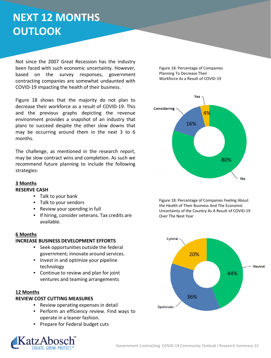# **NEXT 12 MONTHS OUTLOOK**

Not since the 2007 Great Recession has the industry been faced with such economic uncertainty. However, based on the survey responses, government contracting companies are somewhat undaunted with COVID-19 impacting the health of their business.

Figure 18 shows that the majority do not plan to decrease their workforce as a result of COVID-19. This and the previous graphs depicting the revenue environment provides a snapshot of an industry that plans to succeed despite the other slow downs that may be occurring around them in the next 3 to 6 months.

The challenge, as mentioned in the research report, may be slow contract wins and completion. As such we recommend future planning to include the following strategies:

### **3 Months**

#### **RESERVE CASH**

- Talk to your bank
- Talk to your vendors
- Review your spending in full
- If hiring, consider veterans. Tax credits are available.

### **6 Months**

### **INCREASE BUSINESS DEVELOPMENT EFFORTS**

- Seek opportunities outside the federal government; innovate around services.
- Invest in and optimize your pipeline technology
- Continue to review and plan for joint ventures and teaming arrangements

### **12 Months**

### **REVIEW COST CUTTING MEASURES**

- Review operating expenses in detail
- Perform an efficiency review. Find ways to operate in a leaner fashion.
- Prepare for Federal budget cuts





Figure 18: Percentage of Companies Feeling About the Health of Their Business And The Economic Uncertainty of the Country As A Result of COVID-19 Over The Next Year